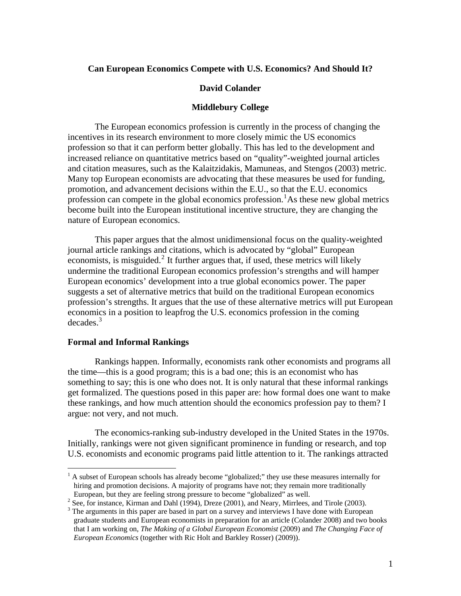## **Can European Economics Compete with U.S. Economics? And Should It?**

#### **David Colander**

### **Middlebury College**

The European economics profession is currently in the process of changing the incentives in its research environment to more closely mimic the US economics profession so that it can perform better globally. This has led to the development and increased reliance on quantitative metrics based on "quality"-weighted journal articles and citation measures, such as the Kalaitzidakis, Mamuneas, and Stengos (2003) metric. Many top European economists are advocating that these measures be used for funding, promotion, and advancement decisions within the E.U., so that the E.U. economics profession can compete in the global economics profession.<sup>[1](#page-0-0)</sup>As these new global metrics become built into the European institutional incentive structure, they are changing the nature of European economics.

This paper argues that the almost unidimensional focus on the quality-weighted journal article rankings and citations, which is advocated by "global" European economists, is misguided.<sup>[2](#page-0-1)</sup> It further argues that, if used, these metrics will likely undermine the traditional European economics profession's strengths and will hamper European economics' development into a true global economics power. The paper suggests a set of alternative metrics that build on the traditional European economics profession's strengths. It argues that the use of these alternative metrics will put European economics in a position to leapfrog the U.S. economics profession in the coming decades. $3$ 

#### **Formal and Informal Rankings**

 $\overline{a}$ 

Rankings happen. Informally, economists rank other economists and programs all the time—this is a good program; this is a bad one; this is an economist who has something to say; this is one who does not. It is only natural that these informal rankings get formalized. The questions posed in this paper are: how formal does one want to make these rankings, and how much attention should the economics profession pay to them? I argue: not very, and not much.

The economics-ranking sub-industry developed in the United States in the 1970s. Initially, rankings were not given significant prominence in funding or research, and top U.S. economists and economic programs paid little attention to it. The rankings attracted

<span id="page-0-0"></span><sup>&</sup>lt;sup>1</sup> A subset of European schools has already become "globalized;" they use these measures internally for hiring and promotion decisions. A majority of programs have not; they remain more traditionally European, but they are feeling strong pressure to become "globalized" as well. 2

<span id="page-0-1"></span><sup>&</sup>lt;sup>2</sup> See, for instance, Kirman and Dahl (1994), Dreze (2001), and Neary, Mirrlees, and Tirole (2003).

<span id="page-0-2"></span><sup>&</sup>lt;sup>3</sup> The arguments in this paper are based in part on a survey and interviews I have done with European graduate students and European economists in preparation for an article (Colander 2008) and two books that I am working on, *The Making of a Global European Economist* (2009) and *The Changing Face of European Economics* (together with Ric Holt and Barkley Rosser) (2009)).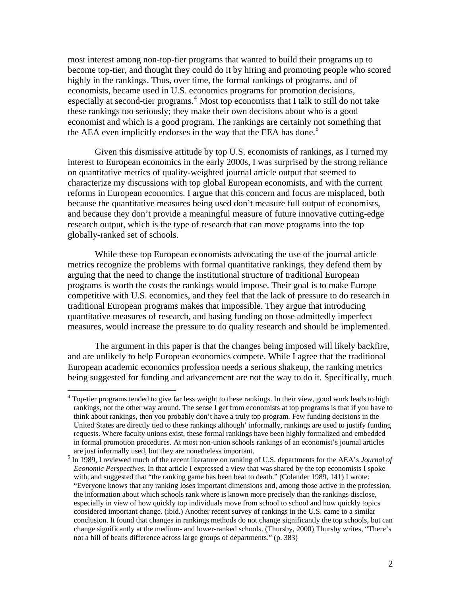most interest among non-top-tier programs that wanted to build their programs up to become top-tier, and thought they could do it by hiring and promoting people who scored highly in the rankings. Thus, over time, the formal rankings of programs, and of economists, became used in U.S. economics programs for promotion decisions, especially at second-tier programs.<sup>[4](#page-1-0)</sup> Most top economists that I talk to still do not take these rankings too seriously; they make their own decisions about who is a good economist and which is a good program. The rankings are certainly not something that the AEA even implicitly endorses in the way that the EEA has done.<sup>[5](#page-1-1)</sup>

Given this dismissive attitude by top U.S. economists of rankings, as I turned my interest to European economics in the early 2000s, I was surprised by the strong reliance on quantitative metrics of quality-weighted journal article output that seemed to characterize my discussions with top global European economists, and with the current reforms in European economics. I argue that this concern and focus are misplaced, both because the quantitative measures being used don't measure full output of economists, and because they don't provide a meaningful measure of future innovative cutting-edge research output, which is the type of research that can move programs into the top globally-ranked set of schools.

While these top European economists advocating the use of the journal article metrics recognize the problems with formal quantitative rankings, they defend them by arguing that the need to change the institutional structure of traditional European programs is worth the costs the rankings would impose. Their goal is to make Europe competitive with U.S. economics, and they feel that the lack of pressure to do research in traditional European programs makes that impossible. They argue that introducing quantitative measures of research, and basing funding on those admittedly imperfect measures, would increase the pressure to do quality research and should be implemented.

The argument in this paper is that the changes being imposed will likely backfire, and are unlikely to help European economics compete. While I agree that the traditional European academic economics profession needs a serious shakeup, the ranking metrics being suggested for funding and advancement are not the way to do it. Specifically, much

<span id="page-1-0"></span><sup>&</sup>lt;sup>4</sup> Top-tier programs tended to give far less weight to these rankings. In their view, good work leads to high rankings, not the other way around. The sense I get from economists at top programs is that if you have to think about rankings, then you probably don't have a truly top program. Few funding decisions in the United States are directly tied to these rankings although' informally, rankings are used to justify funding requests. Where faculty unions exist, these formal rankings have been highly formalized and embedded in formal promotion procedures. At most non-union schools rankings of an economist's journal articles are just informally used, but they are nonetheless important.

<span id="page-1-1"></span><sup>&</sup>lt;sup>5</sup> In 1989, I reviewed much of the recent literature on ranking of U.S. departments for the AEA's *Journal of Economic Perspectives*. In that article I expressed a view that was shared by the top economists I spoke with, and suggested that "the ranking game has been beat to death." (Colander 1989, 141) I wrote: "Everyone knows that any ranking loses important dimensions and, among those active in the profession, the information about which schools rank where is known more precisely than the rankings disclose, especially in view of how quickly top individuals move from school to school and how quickly topics considered important change. (ibid.) Another recent survey of rankings in the U.S. came to a similar conclusion. It found that changes in rankings methods do not change significantly the top schools, but can change significantly at the medium- and lower-ranked schools. (Thursby, 2000) Thursby writes, "There's not a hill of beans difference across large groups of departments." (p. 383)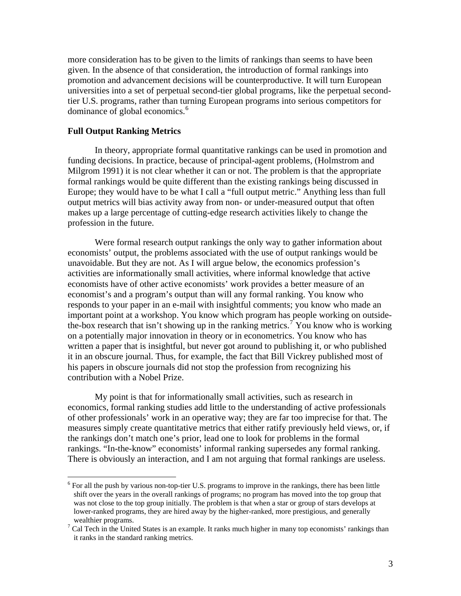more consideration has to be given to the limits of rankings than seems to have been given. In the absence of that consideration, the introduction of formal rankings into promotion and advancement decisions will be counterproductive. It will turn European universities into a set of perpetual second-tier global programs, like the perpetual secondtier U.S. programs, rather than turning European programs into serious competitors for dominance of global economics.<sup>[6](#page-2-0)</sup>

## **Full Output Ranking Metrics**

 $\overline{a}$ 

In theory, appropriate formal quantitative rankings can be used in promotion and funding decisions. In practice, because of principal-agent problems, (Holmstrom and Milgrom 1991) it is not clear whether it can or not. The problem is that the appropriate formal rankings would be quite different than the existing rankings being discussed in Europe; they would have to be what I call a "full output metric." Anything less than full output metrics will bias activity away from non- or under-measured output that often makes up a large percentage of cutting-edge research activities likely to change the profession in the future.

Were formal research output rankings the only way to gather information about economists' output, the problems associated with the use of output rankings would be unavoidable. But they are not. As I will argue below, the economics profession's activities are informationally small activities, where informal knowledge that active economists have of other active economists' work provides a better measure of an economist's and a program's output than will any formal ranking. You know who responds to your paper in an e-mail with insightful comments; you know who made an important point at a workshop. You know which program has people working on outside-the-box research that isn't showing up in the ranking metrics.<sup>[7](#page-2-1)</sup> You know who is working on a potentially major innovation in theory or in econometrics. You know who has written a paper that is insightful, but never got around to publishing it, or who published it in an obscure journal. Thus, for example, the fact that Bill Vickrey published most of his papers in obscure journals did not stop the profession from recognizing his contribution with a Nobel Prize.

My point is that for informationally small activities, such as research in economics, formal ranking studies add little to the understanding of active professionals of other professionals' work in an operative way; they are far too imprecise for that. The measures simply create quantitative metrics that either ratify previously held views, or, if the rankings don't match one's prior, lead one to look for problems in the formal rankings. "In-the-know" economists' informal ranking supersedes any formal ranking. There is obviously an interaction, and I am not arguing that formal rankings are useless.

<span id="page-2-0"></span> $6$  For all the push by various non-top-tier U.S. programs to improve in the rankings, there has been little shift over the years in the overall rankings of programs; no program has moved into the top group that was not close to the top group initially. The problem is that when a star or group of stars develops at lower-ranked programs, they are hired away by the higher-ranked, more prestigious, and generally wealthier programs.<br><sup>7</sup> Cal Tech in the United States is an example. It ranks much higher in many top economists' rankings than

<span id="page-2-1"></span>it ranks in the standard ranking metrics.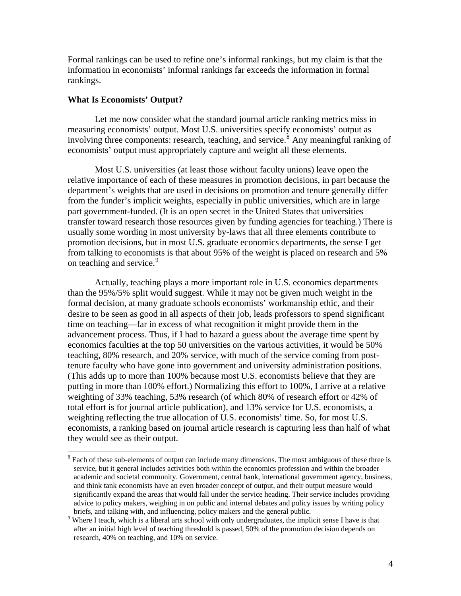Formal rankings can be used to refine one's informal rankings, but my claim is that the information in economists' informal rankings far exceeds the information in formal rankings.

### **What Is Economists' Output?**

 $\overline{a}$ 

Let me now consider what the standard journal article ranking metrics miss in measuring economists' output. Most U.S. universities specify economists' output as involving three components: research, teaching, and service.<sup>[8](#page-3-0)</sup> Any meaningful ranking of economists' output must appropriately capture and weight all these elements.

Most U.S. universities (at least those without faculty unions) leave open the relative importance of each of these measures in promotion decisions, in part because the department's weights that are used in decisions on promotion and tenure generally differ from the funder's implicit weights, especially in public universities, which are in large part government-funded. (It is an open secret in the United States that universities transfer toward research those resources given by funding agencies for teaching.) There is usually some wording in most university by-laws that all three elements contribute to promotion decisions, but in most U.S. graduate economics departments, the sense I get from talking to economists is that about 95% of the weight is placed on research and 5% on teaching and service.<sup>[9](#page-3-1)</sup>

Actually, teaching plays a more important role in U.S. economics departments than the 95%/5% split would suggest. While it may not be given much weight in the formal decision, at many graduate schools economists' workmanship ethic, and their desire to be seen as good in all aspects of their job, leads professors to spend significant time on teaching—far in excess of what recognition it might provide them in the advancement process. Thus, if I had to hazard a guess about the average time spent by economics faculties at the top 50 universities on the various activities, it would be 50% teaching, 80% research, and 20% service, with much of the service coming from posttenure faculty who have gone into government and university administration positions. (This adds up to more than 100% because most U.S. economists believe that they are putting in more than 100% effort.) Normalizing this effort to 100%, I arrive at a relative weighting of 33% teaching, 53% research (of which 80% of research effort or 42% of total effort is for journal article publication), and 13% service for U.S. economists, a weighting reflecting the true allocation of U.S. economists' time. So, for most U.S. economists, a ranking based on journal article research is capturing less than half of what they would see as their output.

<span id="page-3-0"></span> $8$  Each of these sub-elements of output can include many dimensions. The most ambiguous of these three is service, but it general includes activities both within the economics profession and within the broader academic and societal community. Government, central bank, international government agency, business, and think tank economists have an even broader concept of output, and their output measure would significantly expand the areas that would fall under the service heading. Their service includes providing advice to policy makers, weighing in on public and internal debates and policy issues by writing policy briefs, and talking with, and influencing, policy makers and the general public.<br><sup>9</sup> Where I teach which is a liberal arts school with only undergraduates the impli-

<span id="page-3-1"></span>Where I teach, which is a liberal arts school with only undergraduates, the implicit sense I have is that after an initial high level of teaching threshold is passed, 50% of the promotion decision depends on research, 40% on teaching, and 10% on service.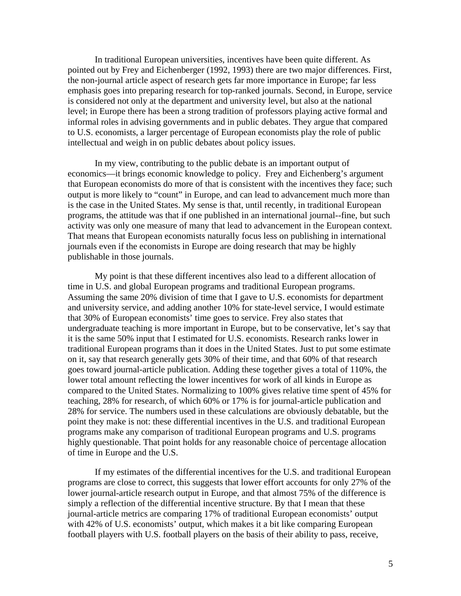In traditional European universities, incentives have been quite different. As pointed out by Frey and Eichenberger (1992, 1993) there are two major differences. First, the non-journal article aspect of research gets far more importance in Europe; far less emphasis goes into preparing research for top-ranked journals. Second, in Europe, service is considered not only at the department and university level, but also at the national level; in Europe there has been a strong tradition of professors playing active formal and informal roles in advising governments and in public debates. They argue that compared to U.S. economists, a larger percentage of European economists play the role of public intellectual and weigh in on public debates about policy issues.

 In my view, contributing to the public debate is an important output of economics—it brings economic knowledge to policy. Frey and Eichenberg's argument that European economists do more of that is consistent with the incentives they face; such output is more likely to "count" in Europe, and can lead to advancement much more than is the case in the United States. My sense is that, until recently, in traditional European programs, the attitude was that if one published in an international journal--fine, but such activity was only one measure of many that lead to advancement in the European context. That means that European economists naturally focus less on publishing in international journals even if the economists in Europe are doing research that may be highly publishable in those journals.

My point is that these different incentives also lead to a different allocation of time in U.S. and global European programs and traditional European programs. Assuming the same 20% division of time that I gave to U.S. economists for department and university service, and adding another 10% for state-level service, I would estimate that 30% of European economists' time goes to service. Frey also states that undergraduate teaching is more important in Europe, but to be conservative, let's say that it is the same 50% input that I estimated for U.S. economists. Research ranks lower in traditional European programs than it does in the United States. Just to put some estimate on it, say that research generally gets 30% of their time, and that 60% of that research goes toward journal-article publication. Adding these together gives a total of 110%, the lower total amount reflecting the lower incentives for work of all kinds in Europe as compared to the United States. Normalizing to 100% gives relative time spent of 45% for teaching, 28% for research, of which 60% or 17% is for journal-article publication and 28% for service. The numbers used in these calculations are obviously debatable, but the point they make is not: these differential incentives in the U.S. and traditional European programs make any comparison of traditional European programs and U.S. programs highly questionable. That point holds for any reasonable choice of percentage allocation of time in Europe and the U.S.

If my estimates of the differential incentives for the U.S. and traditional European programs are close to correct, this suggests that lower effort accounts for only 27% of the lower journal-article research output in Europe, and that almost 75% of the difference is simply a reflection of the differential incentive structure. By that I mean that these journal-article metrics are comparing 17% of traditional European economists' output with 42% of U.S. economists' output, which makes it a bit like comparing European football players with U.S. football players on the basis of their ability to pass, receive,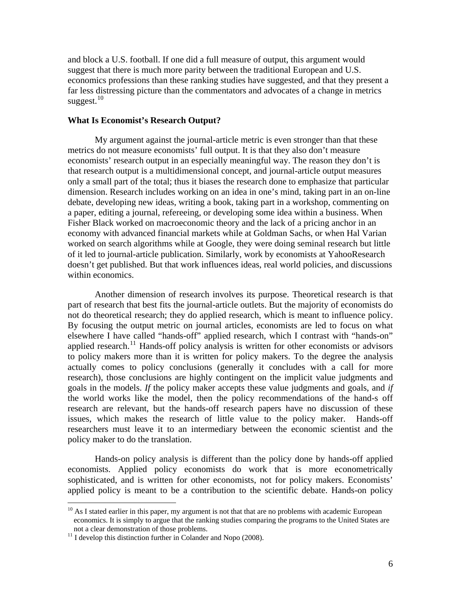and block a U.S. football. If one did a full measure of output, this argument would suggest that there is much more parity between the traditional European and U.S. economics professions than these ranking studies have suggested, and that they present a far less distressing picture than the commentators and advocates of a change in metrics suggest. $10^{-10}$  $10^{-10}$ 

#### **What Is Economist's Research Output?**

My argument against the journal-article metric is even stronger than that these metrics do not measure economists' full output. It is that they also don't measure economists' research output in an especially meaningful way. The reason they don't is that research output is a multidimensional concept, and journal-article output measures only a small part of the total; thus it biases the research done to emphasize that particular dimension. Research includes working on an idea in one's mind, taking part in an on-line debate, developing new ideas, writing a book, taking part in a workshop, commenting on a paper, editing a journal, refereeing, or developing some idea within a business. When Fisher Black worked on macroeconomic theory and the lack of a pricing anchor in an economy with advanced financial markets while at Goldman Sachs, or when Hal Varian worked on search algorithms while at Google, they were doing seminal research but little of it led to journal-article publication. Similarly, work by economists at YahooResearch doesn't get published. But that work influences ideas, real world policies, and discussions within economics.

Another dimension of research involves its purpose. Theoretical research is that part of research that best fits the journal-article outlets. But the majority of economists do not do theoretical research; they do applied research, which is meant to influence policy. By focusing the output metric on journal articles, economists are led to focus on what elsewhere I have called "hands-off" applied research, which I contrast with "hands-on" applied research.<sup>[11](#page-5-1)</sup> Hands-off policy analysis is written for other economists or advisors to policy makers more than it is written for policy makers. To the degree the analysis actually comes to policy conclusions (generally it concludes with a call for more research), those conclusions are highly contingent on the implicit value judgments and goals in the models. *If* the policy maker accepts these value judgments and goals, and *if*  the world works like the model, then the policy recommendations of the hand-s off research are relevant, but the hands-off research papers have no discussion of these issues, which makes the research of little value to the policy maker. Hands-off researchers must leave it to an intermediary between the economic scientist and the policy maker to do the translation.

Hands-on policy analysis is different than the policy done by hands-off applied economists. Applied policy economists do work that is more econometrically sophisticated, and is written for other economists, not for policy makers. Economists' applied policy is meant to be a contribution to the scientific debate. Hands-on policy

<span id="page-5-0"></span> $10$  As I stated earlier in this paper, my argument is not that that are no problems with academic European economics. It is simply to argue that the ranking studies comparing the programs to the United States are not a clear demonstration of those problems.<br><sup>11</sup> I develop this distinction further in Colander and Nopo (2008).

<span id="page-5-1"></span>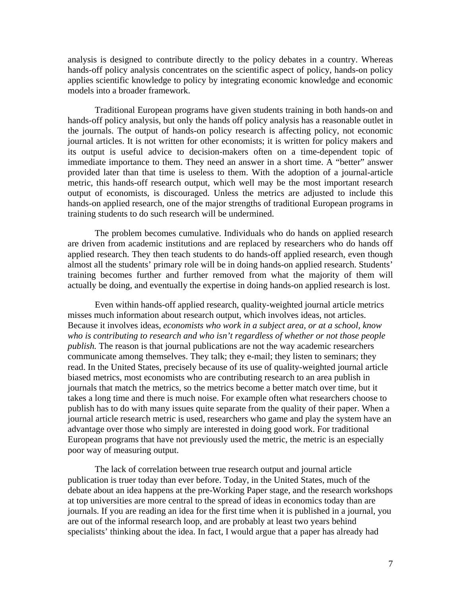analysis is designed to contribute directly to the policy debates in a country. Whereas hands-off policy analysis concentrates on the scientific aspect of policy, hands-on policy applies scientific knowledge to policy by integrating economic knowledge and economic models into a broader framework.

Traditional European programs have given students training in both hands-on and hands-off policy analysis, but only the hands off policy analysis has a reasonable outlet in the journals. The output of hands-on policy research is affecting policy, not economic journal articles. It is not written for other economists; it is written for policy makers and its output is useful advice to decision-makers often on a time-dependent topic of immediate importance to them. They need an answer in a short time. A "better" answer provided later than that time is useless to them. With the adoption of a journal-article metric, this hands-off research output, which well may be the most important research output of economists, is discouraged. Unless the metrics are adjusted to include this hands-on applied research, one of the major strengths of traditional European programs in training students to do such research will be undermined.

The problem becomes cumulative. Individuals who do hands on applied research are driven from academic institutions and are replaced by researchers who do hands off applied research. They then teach students to do hands-off applied research, even though almost all the students' primary role will be in doing hands-on applied research. Students' training becomes further and further removed from what the majority of them will actually be doing, and eventually the expertise in doing hands-on applied research is lost.

Even within hands-off applied research, quality-weighted journal article metrics misses much information about research output, which involves ideas, not articles. Because it involves ideas, *economists who work in a subject area, or at a school, know who is contributing to research and who isn't regardless of whether or not those people publish.* The reason is that journal publications are not the way academic researchers communicate among themselves. They talk; they e-mail; they listen to seminars; they read. In the United States, precisely because of its use of quality-weighted journal article biased metrics, most economists who are contributing research to an area publish in journals that match the metrics, so the metrics become a better match over time, but it takes a long time and there is much noise. For example often what researchers choose to publish has to do with many issues quite separate from the quality of their paper. When a journal article research metric is used, researchers who game and play the system have an advantage over those who simply are interested in doing good work. For traditional European programs that have not previously used the metric, the metric is an especially poor way of measuring output.

The lack of correlation between true research output and journal article publication is truer today than ever before. Today, in the United States, much of the debate about an idea happens at the pre-Working Paper stage, and the research workshops at top universities are more central to the spread of ideas in economics today than are journals. If you are reading an idea for the first time when it is published in a journal, you are out of the informal research loop, and are probably at least two years behind specialists' thinking about the idea. In fact, I would argue that a paper has already had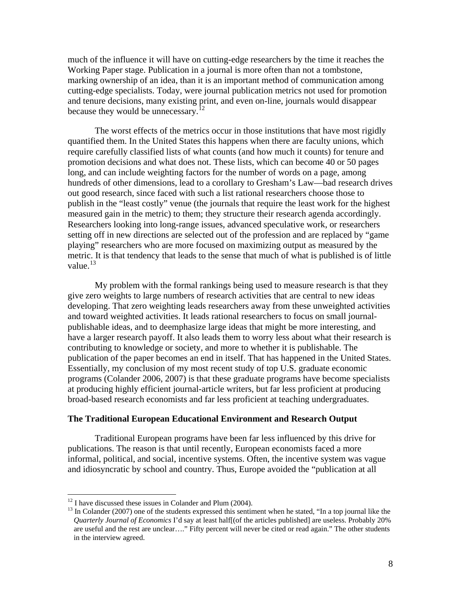much of the influence it will have on cutting-edge researchers by the time it reaches the Working Paper stage. Publication in a journal is more often than not a tombstone, marking ownership of an idea, than it is an important method of communication among cutting-edge specialists. Today, were journal publication metrics not used for promotion and tenure decisions, many existing print, and even on-line, journals would disappear because they would be unnecessary.<sup>1</sup>

The worst effects of the metrics occur in those institutions that have most rigidly quantified them. In the United States this happens when there are faculty unions, which require carefully classified lists of what counts (and how much it counts) for tenure and promotion decisions and what does not. These lists, which can become 40 or 50 pages long, and can include weighting factors for the number of words on a page, among hundreds of other dimensions, lead to a corollary to Gresham's Law—bad research drives out good research, since faced with such a list rational researchers choose those to publish in the "least costly" venue (the journals that require the least work for the highest measured gain in the metric) to them; they structure their research agenda accordingly. Researchers looking into long-range issues, advanced speculative work, or researchers setting off in new directions are selected out of the profession and are replaced by "game playing" researchers who are more focused on maximizing output as measured by the metric. It is that tendency that leads to the sense that much of what is published is of little value. $^{13}$  $^{13}$  $^{13}$ 

My problem with the formal rankings being used to measure research is that they give zero weights to large numbers of research activities that are central to new ideas developing. That zero weighting leads researchers away from these unweighted activities and toward weighted activities. It leads rational researchers to focus on small journalpublishable ideas, and to deemphasize large ideas that might be more interesting, and have a larger research payoff. It also leads them to worry less about what their research is contributing to knowledge or society, and more to whether it is publishable. The publication of the paper becomes an end in itself. That has happened in the United States. Essentially, my conclusion of my most recent study of top U.S. graduate economic programs (Colander 2006, 2007) is that these graduate programs have become specialists at producing highly efficient journal-article writers, but far less proficient at producing broad-based research economists and far less proficient at teaching undergraduates.

#### **The Traditional European Educational Environment and Research Output**

Traditional European programs have been far less influenced by this drive for publications. The reason is that until recently, European economists faced a more informal, political, and social, incentive systems. Often, the incentive system was vague and idiosyncratic by school and country. Thus, Europe avoided the "publication at all

<span id="page-7-0"></span> $12$  I have discussed these issues in Colander and Plum (2004).

<span id="page-7-1"></span> $<sup>13</sup>$  In Colander (2007) one of the students expressed this sentiment when he stated, "In a top journal like the</sup> *Quarterly Journal of Economics* I'd say at least half[(of the articles published] are useless. Probably 20% are useful and the rest are unclear…." Fifty percent will never be cited or read again." The other students in the interview agreed.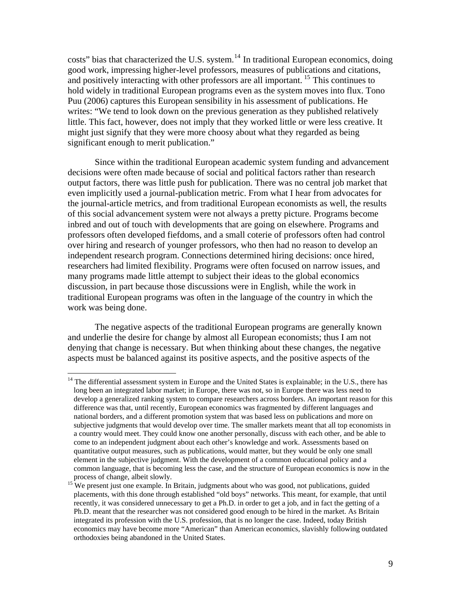costs" bias that characterized the U.S. system.<sup>[14](#page-8-0)</sup> In traditional European economics, doing good work, impressing higher-level professors, measures of publications and citations, and positively interacting with other professors are all important. <sup>[15](#page-8-1)</sup> This continues to hold widely in traditional European programs even as the system moves into flux. Tono Puu (2006) captures this European sensibility in his assessment of publications. He writes: "We tend to look down on the previous generation as they published relatively little. This fact, however, does not imply that they worked little or were less creative. It might just signify that they were more choosy about what they regarded as being significant enough to merit publication."

Since within the traditional European academic system funding and advancement decisions were often made because of social and political factors rather than research output factors, there was little push for publication. There was no central job market that even implicitly used a journal-publication metric. From what I hear from advocates for the journal-article metrics, and from traditional European economists as well, the results of this social advancement system were not always a pretty picture. Programs become inbred and out of touch with developments that are going on elsewhere. Programs and professors often developed fiefdoms, and a small coterie of professors often had control over hiring and research of younger professors, who then had no reason to develop an independent research program. Connections determined hiring decisions: once hired, researchers had limited flexibility. Programs were often focused on narrow issues, and many programs made little attempt to subject their ideas to the global economics discussion, in part because those discussions were in English, while the work in traditional European programs was often in the language of the country in which the work was being done.

The negative aspects of the traditional European programs are generally known and underlie the desire for change by almost all European economists; thus I am not denying that change is necessary. But when thinking about these changes, the negative aspects must be balanced against its positive aspects, and the positive aspects of the

<span id="page-8-0"></span><sup>&</sup>lt;sup>14</sup> The differential assessment system in Europe and the United States is explainable; in the U.S., there has long been an integrated labor market; in Europe, there was not, so in Europe there was less need to develop a generalized ranking system to compare researchers across borders. An important reason for this difference was that, until recently, European economics was fragmented by different languages and national borders, and a different promotion system that was based less on publications and more on subjective judgments that would develop over time. The smaller markets meant that all top economists in a country would meet. They could know one another personally, discuss with each other, and be able to come to an independent judgment about each other's knowledge and work. Assessments based on quantitative output measures, such as publications, would matter, but they would be only one small element in the subjective judgment. With the development of a common educational policy and a common language, that is becoming less the case, and the structure of European economics is now in the

<span id="page-8-1"></span>We present just one example. In Britain, judgments about who was good, not publications, guided placements, with this done through established "old boys" networks. This meant, for example, that until recently, it was considered unnecessary to get a Ph.D. in order to get a job, and in fact the getting of a Ph.D. meant that the researcher was not considered good enough to be hired in the market. As Britain integrated its profession with the U.S. profession, that is no longer the case. Indeed, today British economics may have become more "American" than American economics, slavishly following outdated orthodoxies being abandoned in the United States.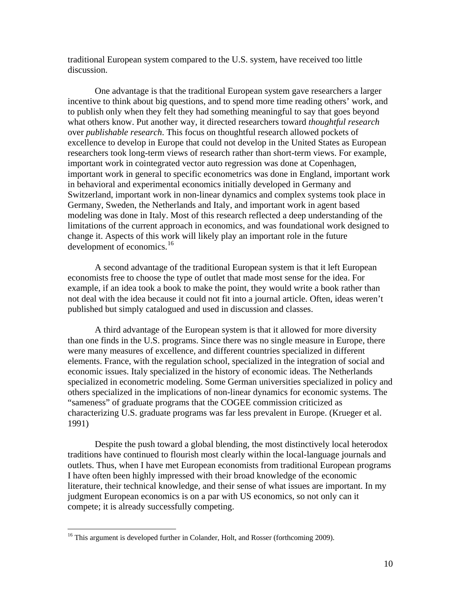traditional European system compared to the U.S. system, have received too little discussion.

One advantage is that the traditional European system gave researchers a larger incentive to think about big questions, and to spend more time reading others' work, and to publish only when they felt they had something meaningful to say that goes beyond what others know. Put another way, it directed researchers toward *thoughtful research* over *publishable research*. This focus on thoughtful research allowed pockets of excellence to develop in Europe that could not develop in the United States as European researchers took long-term views of research rather than short-term views. For example, important work in cointegrated vector auto regression was done at Copenhagen, important work in general to specific econometrics was done in England, important work in behavioral and experimental economics initially developed in Germany and Switzerland, important work in non-linear dynamics and complex systems took place in Germany, Sweden, the Netherlands and Italy, and important work in agent based modeling was done in Italy. Most of this research reflected a deep understanding of the limitations of the current approach in economics, and was foundational work designed to change it. Aspects of this work will likely play an important role in the future development of economics.<sup>[16](#page-9-0)</sup>

A second advantage of the traditional European system is that it left European economists free to choose the type of outlet that made most sense for the idea. For example, if an idea took a book to make the point, they would write a book rather than not deal with the idea because it could not fit into a journal article. Often, ideas weren't published but simply catalogued and used in discussion and classes.

A third advantage of the European system is that it allowed for more diversity than one finds in the U.S. programs. Since there was no single measure in Europe, there were many measures of excellence, and different countries specialized in different elements. France, with the regulation school, specialized in the integration of social and economic issues. Italy specialized in the history of economic ideas. The Netherlands specialized in econometric modeling. Some German universities specialized in policy and others specialized in the implications of non-linear dynamics for economic systems. The "sameness" of graduate programs that the COGEE commission criticized as characterizing U.S. graduate programs was far less prevalent in Europe. (Krueger et al. 1991)

Despite the push toward a global blending, the most distinctively local heterodox traditions have continued to flourish most clearly within the local-language journals and outlets. Thus, when I have met European economists from traditional European programs I have often been highly impressed with their broad knowledge of the economic literature, their technical knowledge, and their sense of what issues are important. In my judgment European economics is on a par with US economics, so not only can it compete; it is already successfully competing.

<span id="page-9-0"></span><sup>&</sup>lt;sup>16</sup> This argument is developed further in Colander, Holt, and Rosser (forthcoming 2009).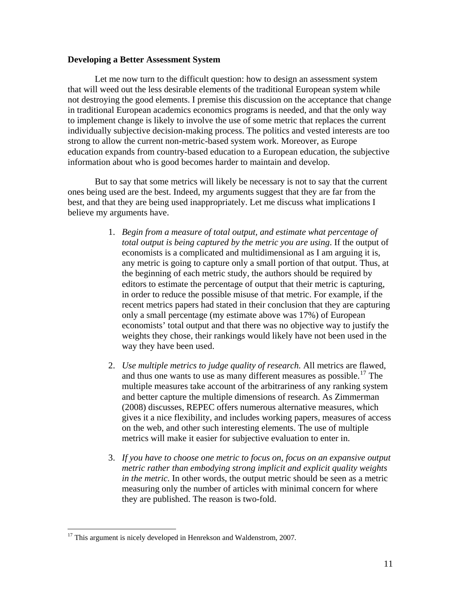# **Developing a Better Assessment System**

Let me now turn to the difficult question: how to design an assessment system that will weed out the less desirable elements of the traditional European system while not destroying the good elements. I premise this discussion on the acceptance that change in traditional European academics economics programs is needed, and that the only way to implement change is likely to involve the use of some metric that replaces the current individually subjective decision-making process. The politics and vested interests are too strong to allow the current non-metric-based system work. Moreover, as Europe education expands from country-based education to a European education, the subjective information about who is good becomes harder to maintain and develop.

But to say that some metrics will likely be necessary is not to say that the current ones being used are the best. Indeed, my arguments suggest that they are far from the best, and that they are being used inappropriately. Let me discuss what implications I believe my arguments have.

- 1. *Begin from a measure of total output, and estimate what percentage of total output is being captured by the metric you are using*. If the output of economists is a complicated and multidimensional as I am arguing it is, any metric is going to capture only a small portion of that output. Thus, at the beginning of each metric study, the authors should be required by editors to estimate the percentage of output that their metric is capturing, in order to reduce the possible misuse of that metric. For example, if the recent metrics papers had stated in their conclusion that they are capturing only a small percentage (my estimate above was 17%) of European economists' total output and that there was no objective way to justify the weights they chose, their rankings would likely have not been used in the way they have been used.
- 2. *Use multiple metrics to judge quality of research.* All metrics are flawed, and thus one wants to use as many different measures as possible.<sup>[17](#page-10-0)</sup> The multiple measures take account of the arbitrariness of any ranking system and better capture the multiple dimensions of research. As Zimmerman (2008) discusses, REPEC offers numerous alternative measures, which gives it a nice flexibility, and includes working papers, measures of access on the web, and other such interesting elements. The use of multiple metrics will make it easier for subjective evaluation to enter in.
- 3. *If you have to choose one metric to focus on, focus on an expansive output metric rather than embodying strong implicit and explicit quality weights in the metric.* In other words, the output metric should be seen as a metric measuring only the number of articles with minimal concern for where they are published. The reason is two-fold.

<span id="page-10-0"></span><sup>&</sup>lt;sup>17</sup> This argument is nicely developed in Henrekson and Waldenstrom, 2007.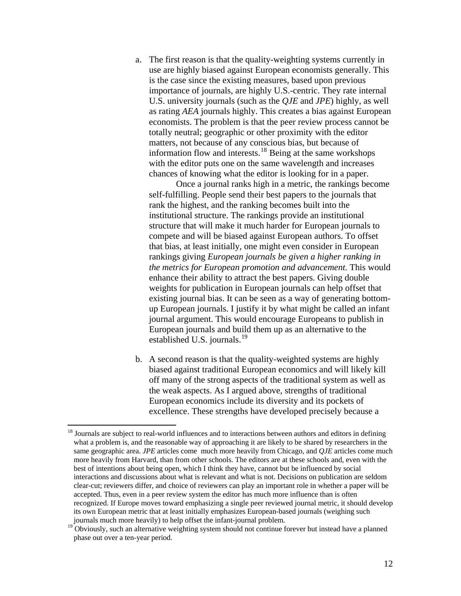a. The first reason is that the quality-weighting systems currently in use are highly biased against European economists generally. This is the case since the existing measures, based upon previous importance of journals, are highly U.S.-centric. They rate internal U.S. university journals (such as the *QJE* and *JPE*) highly, as well as rating *AEA* journals highly. This creates a bias against European economists. The problem is that the peer review process cannot be totally neutral; geographic or other proximity with the editor matters, not because of any conscious bias, but because of information flow and interests.<sup>[18](#page-11-0)</sup> Being at the same workshops with the editor puts one on the same wavelength and increases chances of knowing what the editor is looking for in a paper.

 Once a journal ranks high in a metric, the rankings become self-fulfilling. People send their best papers to the journals that rank the highest, and the ranking becomes built into the institutional structure. The rankings provide an institutional structure that will make it much harder for European journals to compete and will be biased against European authors. To offset that bias, at least initially, one might even consider in European rankings giving *European journals be given a higher ranking in the metrics for European promotion and advancement.* This would enhance their ability to attract the best papers. Giving double weights for publication in European journals can help offset that existing journal bias. It can be seen as a way of generating bottomup European journals. I justify it by what might be called an infant journal argument. This would encourage Europeans to publish in European journals and build them up as an alternative to the established U.S. journals. $19$ 

b. A second reason is that the quality-weighted systems are highly biased against traditional European economics and will likely kill off many of the strong aspects of the traditional system as well as the weak aspects. As I argued above, strengths of traditional European economics include its diversity and its pockets of excellence. These strengths have developed precisely because a

<span id="page-11-0"></span><sup>&</sup>lt;sup>18</sup> Journals are subject to real-world influences and to interactions between authors and editors in defining what a problem is, and the reasonable way of approaching it are likely to be shared by researchers in the same geographic area. *JPE* articles come much more heavily from Chicago, and *QJE* articles come much more heavily from Harvard, than from other schools. The editors are at these schools and, even with the best of intentions about being open, which I think they have, cannot but be influenced by social interactions and discussions about what is relevant and what is not. Decisions on publication are seldom clear-cut; reviewers differ, and choice of reviewers can play an important role in whether a paper will be accepted. Thus, even in a peer review system the editor has much more influence than is often recognized. If Europe moves toward emphasizing a single peer reviewed journal metric, it should develop its own European metric that at least initially emphasizes European-based journals (weighing such journals much more heavily) to help offset the infant-journal problem.

<span id="page-11-1"></span><sup>&</sup>lt;sup>19</sup> Obviously, such an alternative weighting system should not continue forever but instead have a planned phase out over a ten-year period.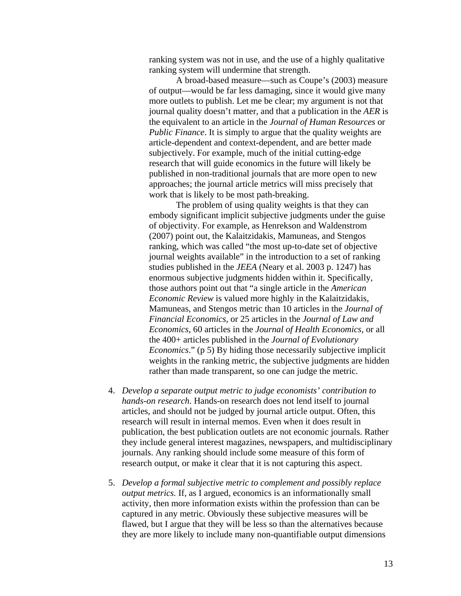ranking system was not in use, and the use of a highly qualitative ranking system will undermine that strength.

 A broad-based measure—such as Coupe's (2003) measure of output—would be far less damaging, since it would give many more outlets to publish. Let me be clear; my argument is not that journal quality doesn't matter, and that a publication in the *AER* is the equivalent to an article in the *Journal of Human Resources* or *Public Finance*. It is simply to argue that the quality weights are article-dependent and context-dependent, and are better made subjectively. For example, much of the initial cutting-edge research that will guide economics in the future will likely be published in non-traditional journals that are more open to new approaches; the journal article metrics will miss precisely that work that is likely to be most path-breaking.

 The problem of using quality weights is that they can embody significant implicit subjective judgments under the guise of objectivity. For example, as Henrekson and Waldenstrom (2007) point out, the Kalaitzidakis, Mamuneas, and Stengos ranking, which was called "the most up-to-date set of objective journal weights available" in the introduction to a set of ranking studies published in the *JEEA* (Neary et al. 2003 p. 1247) has enormous subjective judgments hidden within it. Specifically, those authors point out that "a single article in the *American Economic Review* is valued more highly in the Kalaitzidakis, Mamuneas, and Stengos metric than 10 articles in the *Journal of Financial Economics*, or 25 articles in the *Journal of Law and Economics*, 60 articles in the *Journal of Health Economics*, or all the 400+ articles published in the *Journal of Evolutionary Economics*." (p 5) By hiding those necessarily subjective implicit weights in the ranking metric, the subjective judgments are hidden rather than made transparent, so one can judge the metric.

- 4. *Develop a separate output metric to judge economists' contribution to hands-on research*. Hands-on research does not lend itself to journal articles, and should not be judged by journal article output. Often, this research will result in internal memos. Even when it does result in publication, the best publication outlets are not economic journals. Rather they include general interest magazines, newspapers, and multidisciplinary journals. Any ranking should include some measure of this form of research output, or make it clear that it is not capturing this aspect.
- 5. *Develop a formal subjective metric to complement and possibly replace output metrics.* If, as I argued, economics is an informationally small activity, then more information exists within the profession than can be captured in any metric. Obviously these subjective measures will be flawed, but I argue that they will be less so than the alternatives because they are more likely to include many non-quantifiable output dimensions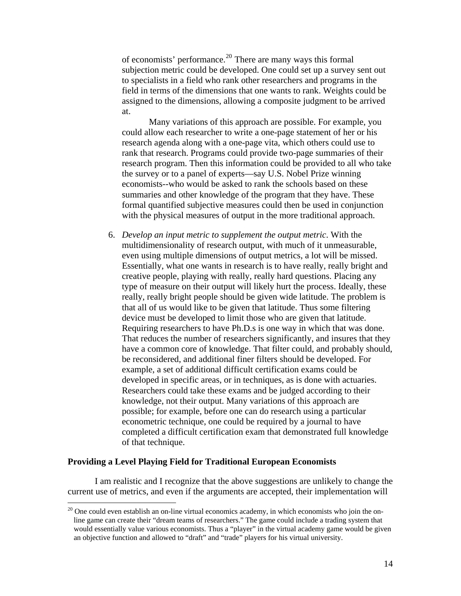of economists' performance.<sup>[20](#page-13-0)</sup> There are many ways this formal subjection metric could be developed. One could set up a survey sent out to specialists in a field who rank other researchers and programs in the field in terms of the dimensions that one wants to rank. Weights could be assigned to the dimensions, allowing a composite judgment to be arrived at.

 Many variations of this approach are possible. For example, you could allow each researcher to write a one-page statement of her or his research agenda along with a one-page vita, which others could use to rank that research. Programs could provide two-page summaries of their research program. Then this information could be provided to all who take the survey or to a panel of experts—say U.S. Nobel Prize winning economists--who would be asked to rank the schools based on these summaries and other knowledge of the program that they have. These formal quantified subjective measures could then be used in conjunction with the physical measures of output in the more traditional approach.

6. *Develop an input metric to supplement the output metric*. With the multidimensionality of research output, with much of it unmeasurable, even using multiple dimensions of output metrics, a lot will be missed. Essentially, what one wants in research is to have really, really bright and creative people, playing with really, really hard questions. Placing any type of measure on their output will likely hurt the process. Ideally, these really, really bright people should be given wide latitude. The problem is that all of us would like to be given that latitude. Thus some filtering device must be developed to limit those who are given that latitude. Requiring researchers to have Ph.D.s is one way in which that was done. That reduces the number of researchers significantly, and insures that they have a common core of knowledge. That filter could, and probably should, be reconsidered, and additional finer filters should be developed. For example, a set of additional difficult certification exams could be developed in specific areas, or in techniques, as is done with actuaries. Researchers could take these exams and be judged according to their knowledge, not their output. Many variations of this approach are possible; for example, before one can do research using a particular econometric technique, one could be required by a journal to have completed a difficult certification exam that demonstrated full knowledge of that technique.

# **Providing a Level Playing Field for Traditional European Economists**

 $\overline{a}$ 

 I am realistic and I recognize that the above suggestions are unlikely to change the current use of metrics, and even if the arguments are accepted, their implementation will

<span id="page-13-0"></span> $20$  One could even establish an on-line virtual economics academy, in which economists who join the online game can create their "dream teams of researchers." The game could include a trading system that would essentially value various economists. Thus a "player" in the virtual academy game would be given an objective function and allowed to "draft" and "trade" players for his virtual university.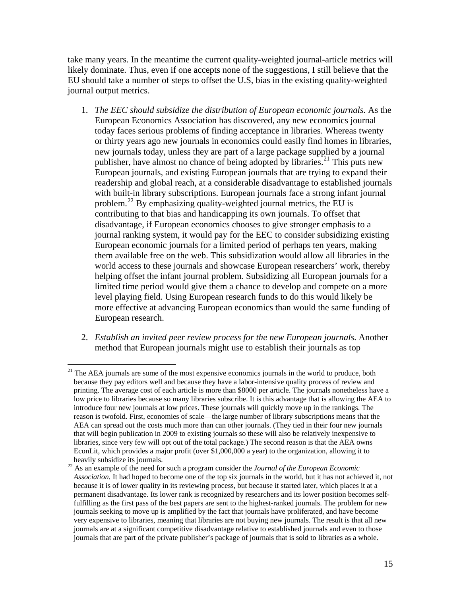take many years. In the meantime the current quality-weighted journal-article metrics will likely dominate. Thus, even if one accepts none of the suggestions, I still believe that the EU should take a number of steps to offset the U.S, bias in the existing quality-weighted journal output metrics.

- 1. *The EEC should subsidize the distribution of European economic journals.* As the European Economics Association has discovered, any new economics journal today faces serious problems of finding acceptance in libraries. Whereas twenty or thirty years ago new journals in economics could easily find homes in libraries, new journals today, unless they are part of a large package supplied by a journal publisher, have almost no chance of being adopted by libraries.<sup>[21](#page-14-0)</sup> This puts new European journals, and existing European journals that are trying to expand their readership and global reach, at a considerable disadvantage to established journals with built-in library subscriptions. European journals face a strong infant journal problem.<sup>[22](#page-14-1)</sup> By emphasizing quality-weighted journal metrics, the EU is contributing to that bias and handicapping its own journals. To offset that disadvantage, if European economics chooses to give stronger emphasis to a journal ranking system, it would pay for the EEC to consider subsidizing existing European economic journals for a limited period of perhaps ten years, making them available free on the web. This subsidization would allow all libraries in the world access to these journals and showcase European researchers' work, thereby helping offset the infant journal problem. Subsidizing all European journals for a limited time period would give them a chance to develop and compete on a more level playing field. Using European research funds to do this would likely be more effective at advancing European economics than would the same funding of European research.
- 2. *Establish an invited peer review process for the new European journals.* Another method that European journals might use to establish their journals as top

<span id="page-14-0"></span> $21$  The AEA journals are some of the most expensive economics journals in the world to produce, both because they pay editors well and because they have a labor-intensive quality process of review and printing. The average cost of each article is more than \$8000 per article. The journals nonetheless have a low price to libraries because so many libraries subscribe. It is this advantage that is allowing the AEA to introduce four new journals at low prices. These journals will quickly move up in the rankings. The reason is twofold. First, economies of scale—the large number of library subscriptions means that the AEA can spread out the costs much more than can other journals. (They tied in their four new journals that will begin publication in 2009 to existing journals so these will also be relatively inexpensive to libraries, since very few will opt out of the total package.) The second reason is that the AEA owns EconLit, which provides a major profit (over \$1,000,000 a year) to the organization, allowing it to

<span id="page-14-1"></span>heavily subsidize its journals. 22 As an example of the need for such a program consider the *Journal of the European Economic Association.* It had hoped to become one of the top six journals in the world, but it has not achieved it, not because it is of lower quality in its reviewing process, but because it started later, which places it at a permanent disadvantage. Its lower rank is recognized by researchers and its lower position becomes selffulfilling as the first pass of the best papers are sent to the highest-ranked journals. The problem for new journals seeking to move up is amplified by the fact that journals have proliferated, and have become very expensive to libraries, meaning that libraries are not buying new journals. The result is that all new journals are at a significant competitive disadvantage relative to established journals and even to those journals that are part of the private publisher's package of journals that is sold to libraries as a whole.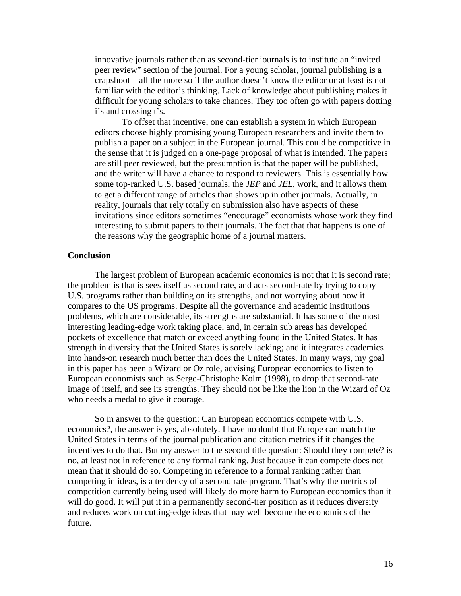innovative journals rather than as second-tier journals is to institute an "invited peer review" section of the journal. For a young scholar, journal publishing is a crapshoot—all the more so if the author doesn't know the editor or at least is not familiar with the editor's thinking. Lack of knowledge about publishing makes it difficult for young scholars to take chances. They too often go with papers dotting i's and crossing t's.

 To offset that incentive, one can establish a system in which European editors choose highly promising young European researchers and invite them to publish a paper on a subject in the European journal. This could be competitive in the sense that it is judged on a one-page proposal of what is intended. The papers are still peer reviewed, but the presumption is that the paper will be published, and the writer will have a chance to respond to reviewers. This is essentially how some top-ranked U.S. based journals, the *JEP* and *JEL*, work, and it allows them to get a different range of articles than shows up in other journals. Actually, in reality, journals that rely totally on submission also have aspects of these invitations since editors sometimes "encourage" economists whose work they find interesting to submit papers to their journals. The fact that that happens is one of the reasons why the geographic home of a journal matters.

### **Conclusion**

 The largest problem of European academic economics is not that it is second rate; the problem is that is sees itself as second rate, and acts second-rate by trying to copy U.S. programs rather than building on its strengths, and not worrying about how it compares to the US programs. Despite all the governance and academic institutions problems, which are considerable, its strengths are substantial. It has some of the most interesting leading-edge work taking place, and, in certain sub areas has developed pockets of excellence that match or exceed anything found in the United States. It has strength in diversity that the United States is sorely lacking; and it integrates academics into hands-on research much better than does the United States. In many ways, my goal in this paper has been a Wizard or Oz role, advising European economics to listen to European economists such as Serge-Christophe Kolm (1998), to drop that second-rate image of itself, and see its strengths. They should not be like the lion in the Wizard of Oz who needs a medal to give it courage.

So in answer to the question: Can European economics compete with U.S. economics?, the answer is yes, absolutely. I have no doubt that Europe can match the United States in terms of the journal publication and citation metrics if it changes the incentives to do that. But my answer to the second title question: Should they compete? is no, at least not in reference to any formal ranking. Just because it can compete does not mean that it should do so. Competing in reference to a formal ranking rather than competing in ideas, is a tendency of a second rate program. That's why the metrics of competition currently being used will likely do more harm to European economics than it will do good. It will put it in a permanently second-tier position as it reduces diversity and reduces work on cutting-edge ideas that may well become the economics of the future.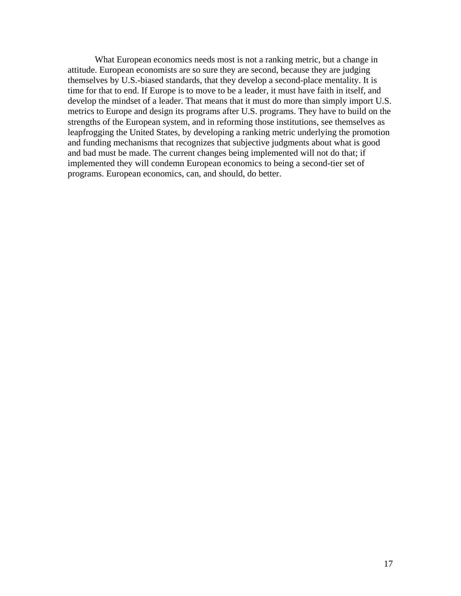What European economics needs most is not a ranking metric, but a change in attitude. European economists are so sure they are second, because they are judging themselves by U.S.-biased standards, that they develop a second-place mentality. It is time for that to end. If Europe is to move to be a leader, it must have faith in itself, and develop the mindset of a leader. That means that it must do more than simply import U.S. metrics to Europe and design its programs after U.S. programs. They have to build on the strengths of the European system, and in reforming those institutions, see themselves as leapfrogging the United States, by developing a ranking metric underlying the promotion and funding mechanisms that recognizes that subjective judgments about what is good and bad must be made. The current changes being implemented will not do that; if implemented they will condemn European economics to being a second-tier set of programs. European economics, can, and should, do better.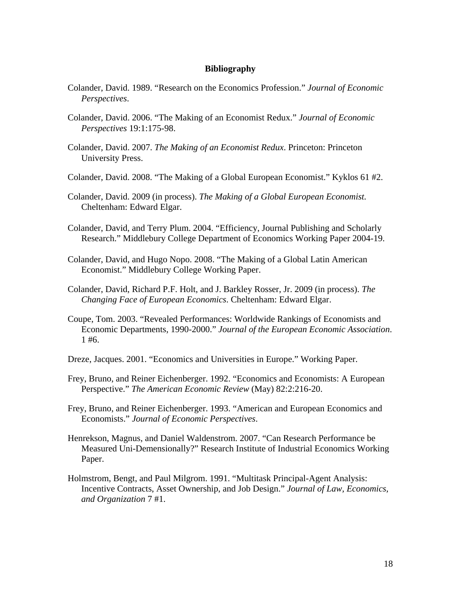## **Bibliography**

- Colander, David. 1989. "Research on the Economics Profession." *Journal of Economic Perspectives*.
- Colander, David. 2006. "The Making of an Economist Redux." *Journal of Economic Perspectives* 19:1:175-98.
- Colander, David. 2007. *The Making of an Economist Redux*. Princeton: Princeton University Press.
- Colander, David. 2008. "The Making of a Global European Economist." Kyklos 61 #2.
- Colander, David. 2009 (in process). *The Making of a Global European Economist.* Cheltenham: Edward Elgar.
- Colander, David, and Terry Plum. 2004. "Efficiency, Journal Publishing and Scholarly Research." Middlebury College Department of Economics Working Paper 2004-19.
- Colander, David, and Hugo Nopo. 2008. "The Making of a Global Latin American Economist." Middlebury College Working Paper.
- Colander, David, Richard P.F. Holt, and J. Barkley Rosser, Jr. 2009 (in process). *The Changing Face of European Economics*. Cheltenham: Edward Elgar.
- Coupe, Tom. 2003. "Revealed Performances: Worldwide Rankings of Economists and Economic Departments, 1990-2000." *Journal of the European Economic Association*. 1 #6.
- Dreze, Jacques. 2001. "Economics and Universities in Europe." Working Paper.
- Frey, Bruno, and Reiner Eichenberger. 1992. "Economics and Economists: A European Perspective." *The American Economic Review* (May) 82:2:216-20.
- Frey, Bruno, and Reiner Eichenberger. 1993. "American and European Economics and Economists." *Journal of Economic Perspectives*.
- Henrekson, Magnus, and Daniel Waldenstrom. 2007. "Can Research Performance be Measured Uni-Demensionally?" Research Institute of Industrial Economics Working Paper.
- Holmstrom, Bengt, and Paul Milgrom. 1991. "Multitask Principal-Agent Analysis: Incentive Contracts, Asset Ownership, and Job Design." *Journal of Law, Economics, and Organization* 7 #1.